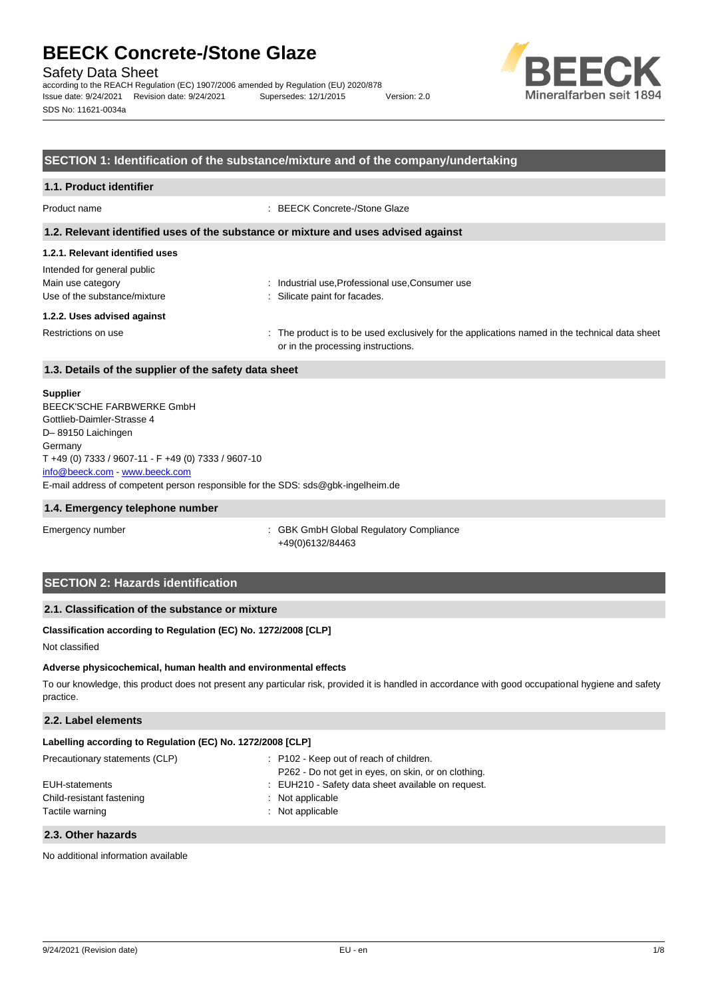Safety Data Sheet

according to the REACH Regulation (EC) 1907/2006 amended by Regulation (EU) 2020/878 Issue date: 9/24/2021 Revision date: 9/24/2021 Supersedes: 12/1/2015 Version: 2.0 SDS No: 11621-0034a



#### **SECTION 1: Identification of the substance/mixture and of the company/undertaking**

#### **1.1. Product identifier**

Product name : BEECK Concrete-/Stone Glaze

#### **1.2. Relevant identified uses of the substance or mixture and uses advised against**

#### **1.2.1. Relevant identified uses**

Intended for general public Main use category **industrial use, Professional use, Consumer use** industrial use, Professional use, Consumer use Use of the substance/mixture in the substance/mixture in the substance in the substance of the substance of the substance of the substance of the substance of the substance of the substance of the substance of the substanc

#### **1.2.2. Uses advised against**

Restrictions on use state of the product is to be used exclusively for the applications named in the technical data sheet or in the processing instructions.

#### **1.3. Details of the supplier of the safety data sheet**

#### **Supplier**

E-mail address of competent person responsible for the SDS: sds@gbk-ingelheim.de BEECK'SCHE FARBWERKE GmbH Gottlieb-Daimler-Strasse 4 D– 89150 Laichingen Germany T +49 (0) 7333 / 9607-11 - F +49 (0) 7333 / 9607-10 [info@beeck.com](mailto:info@beeck.com) - [www.beeck.com](http://www.beeck.com/)

#### **1.4. Emergency telephone number**

Emergency number **Emergency** number **1996** is GBK GmbH Global Regulatory Compliance +49(0)6132/84463

### **SECTION 2: Hazards identification**

#### **2.1. Classification of the substance or mixture**

#### **Classification according to Regulation (EC) No. 1272/2008 [CLP]**

Not classified

#### **Adverse physicochemical, human health and environmental effects**

To our knowledge, this product does not present any particular risk, provided it is handled in accordance with good occupational hygiene and safety practice.

#### **2.2. Label elements**

| Labelling according to Regulation (EC) No. 1272/2008 [CLP] |                                                     |
|------------------------------------------------------------|-----------------------------------------------------|
| Precautionary statements (CLP)                             | : P102 - Keep out of reach of children.             |
|                                                            | P262 - Do not get in eyes, on skin, or on clothing. |
| EUH-statements                                             | : EUH210 - Safety data sheet available on request.  |
| Child-resistant fastening                                  | : Not applicable                                    |
| Tactile warning                                            | : Not applicable                                    |

#### **2.3. Other hazards**

No additional information available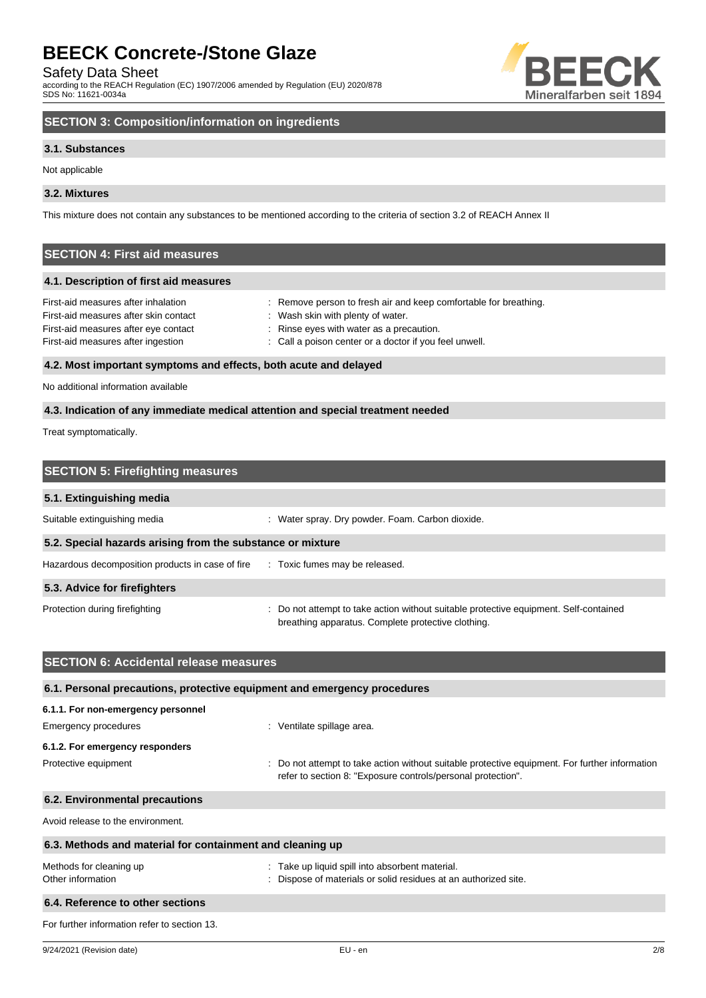Safety Data Sheet

according to the REACH Regulation (EC) 1907/2006 amended by Regulation (EU) 2020/878 SDS No: 11621-0034a



# **SECTION 3: Composition/information on ingredients**

#### **3.1. Substances**

Not applicable

#### **3.2. Mixtures**

This mixture does not contain any substances to be mentioned according to the criteria of section 3.2 of REACH Annex II

# **SECTION 4: First aid measures**

#### **4.1. Description of first aid measures**

| First-aid measures after inhalation                              | : Remove person to fresh air and keep comfortable for breathing. |
|------------------------------------------------------------------|------------------------------------------------------------------|
| First-aid measures after skin contact                            | : Wash skin with plenty of water.                                |
| First-aid measures after eye contact                             | : Rinse eyes with water as a precaution.                         |
| First-aid measures after ingestion                               | : Call a poison center or a doctor if you feel unwell.           |
| 4.2. Most important symptoms and effects, both acute and delayed |                                                                  |

# No additional information available

#### **4.3. Indication of any immediate medical attention and special treatment needed**

Treat symptomatically.

| <b>SECTION 5: Firefighting measures</b>                                         |                                                                                                                                             |
|---------------------------------------------------------------------------------|---------------------------------------------------------------------------------------------------------------------------------------------|
| 5.1. Extinguishing media                                                        |                                                                                                                                             |
| Suitable extinguishing media                                                    | : Water spray. Dry powder. Foam. Carbon dioxide.                                                                                            |
| 5.2. Special hazards arising from the substance or mixture                      |                                                                                                                                             |
| Hazardous decomposition products in case of fire : Toxic fumes may be released. |                                                                                                                                             |
| 5.3. Advice for firefighters                                                    |                                                                                                                                             |
| Protection during firefighting                                                  | : Do not attempt to take action without suitable protective equipment. Self-contained<br>breathing apparatus. Complete protective clothing. |

| <b>SECTION 6: Accidental release measures</b>                            |                                                                                                                                                              |
|--------------------------------------------------------------------------|--------------------------------------------------------------------------------------------------------------------------------------------------------------|
| 6.1. Personal precautions, protective equipment and emergency procedures |                                                                                                                                                              |
| 6.1.1. For non-emergency personnel                                       |                                                                                                                                                              |
| Emergency procedures                                                     | : Ventilate spillage area.                                                                                                                                   |
| 6.1.2. For emergency responders                                          |                                                                                                                                                              |
| Protective equipment                                                     | Do not attempt to take action without suitable protective equipment. For further information<br>refer to section 8: "Exposure controls/personal protection". |
| 6.2. Environmental precautions                                           |                                                                                                                                                              |
| Avoid release to the environment.                                        |                                                                                                                                                              |
| 6.3. Methods and material for containment and cleaning up                |                                                                                                                                                              |
| Methods for cleaning up<br>Other information                             | : Take up liquid spill into absorbent material.<br>Dispose of materials or solid residues at an authorized site.                                             |
| 6.4. Reference to other sections                                         |                                                                                                                                                              |
| For further information refer to section 13.                             |                                                                                                                                                              |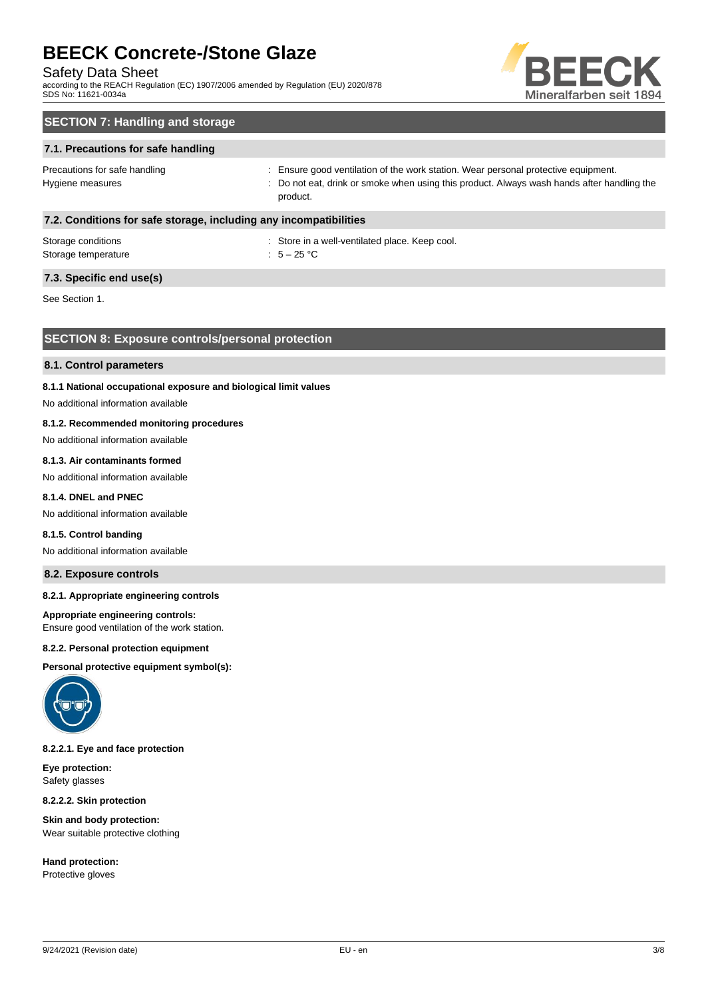#### Safety Data Sheet

according to the REACH Regulation (EC) 1907/2006 amended by Regulation (EU) 2020/878 SDS No: 11621-0034a



# **SECTION 7: Handling and storage**

#### **7.1. Precautions for safe handling**

Precautions for safe handling state is ensure good ventilation of the work station. Wear personal protective equipment. Hygiene measures states of the state of the not eat, drink or smoke when using this product. Always wash hands after handling the product.

#### **7.2. Conditions for safe storage, including any incompatibilities**

| Storage conditions  | : Store in a |
|---------------------|--------------|
| Storage temperature | : $5-25$ °C  |

: Store in a well-ventilated place. Keep cool.

### **7.3. Specific end use(s)**

See Section 1.

### **SECTION 8: Exposure controls/personal protection**

#### **8.1. Control parameters**

#### **8.1.1 National occupational exposure and biological limit values**

No additional information available

#### **8.1.2. Recommended monitoring procedures**

No additional information available

#### **8.1.3. Air contaminants formed**

No additional information available

#### **8.1.4. DNEL and PNEC**

No additional information available

#### **8.1.5. Control banding**

No additional information available

#### **8.2. Exposure controls**

#### **8.2.1. Appropriate engineering controls**

#### **Appropriate engineering controls:**

Ensure good ventilation of the work station.

#### **8.2.2. Personal protection equipment**

**Personal protective equipment symbol(s):**



#### **8.2.2.1. Eye and face protection**

**Eye protection:** Safety glasses

**8.2.2.2. Skin protection**

**Skin and body protection:** Wear suitable protective clothing

**Hand protection:** Protective gloves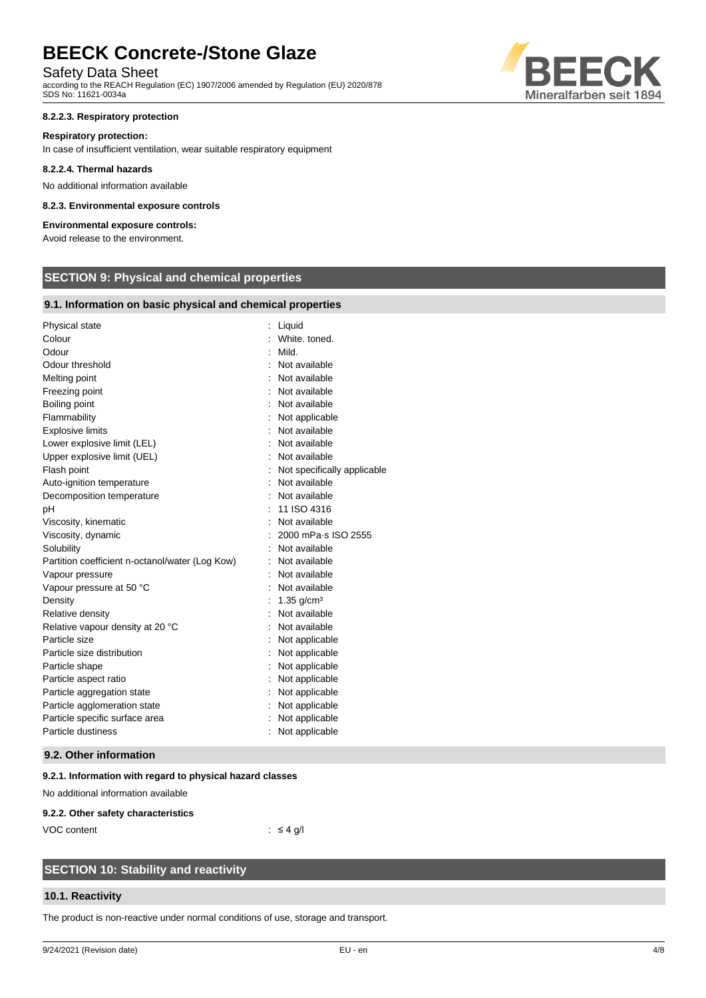### Safety Data Sheet

according to the REACH Regulation (EC) 1907/2006 amended by Regulation (EU) 2020/878 SDS No: 11621-0034a

#### **8.2.2.3. Respiratory protection**

#### **Respiratory protection:**

In case of insufficient ventilation, wear suitable respiratory equipment

#### **8.2.2.4. Thermal hazards**

No additional information available

#### **8.2.3. Environmental exposure controls**

### **Environmental exposure controls:**

Avoid release to the environment.

# **SECTION 9: Physical and chemical properties**

#### **9.1. Information on basic physical and chemical properties**

| Physical state                                  | Liquid                      |
|-------------------------------------------------|-----------------------------|
| Colour                                          | White, toned.               |
| Odour                                           | Mild.                       |
| Odour threshold                                 | Not available               |
| Melting point                                   | Not available               |
| Freezing point                                  | Not available               |
| Boiling point                                   | Not available               |
| Flammability                                    | Not applicable              |
| <b>Explosive limits</b>                         | Not available               |
| Lower explosive limit (LEL)                     | Not available               |
| Upper explosive limit (UEL)                     | Not available               |
| Flash point                                     | Not specifically applicable |
| Auto-ignition temperature                       | Not available               |
| Decomposition temperature                       | Not available               |
| pH                                              | 11 ISO 4316                 |
| Viscosity, kinematic                            | Not available               |
| Viscosity, dynamic                              | 2000 mPa-s ISO 2555         |
| Solubility                                      | Not available               |
| Partition coefficient n-octanol/water (Log Kow) | Not available               |
| Vapour pressure                                 | Not available               |
| Vapour pressure at 50 °C                        | Not available               |
| Density                                         | $1.35$ g/cm <sup>3</sup>    |
| Relative density                                | Not available               |
| Relative vapour density at 20 °C                | Not available               |
| Particle size                                   | Not applicable              |
| Particle size distribution                      | Not applicable              |
| Particle shape                                  | Not applicable              |
| Particle aspect ratio                           | Not applicable              |
| Particle aggregation state                      | Not applicable              |
| Particle agglomeration state                    | Not applicable              |
| Particle specific surface area                  | Not applicable              |
| Particle dustiness                              | Not applicable              |

#### **9.2. Other information**

#### **9.2.1. Information with regard to physical hazard classes**

No additional information available

#### **9.2.2. Other safety characteristics**

VOC content : ≤ 4 g/l

# **SECTION 10: Stability and reactivity**

#### **10.1. Reactivity**

The product is non-reactive under normal conditions of use, storage and transport.

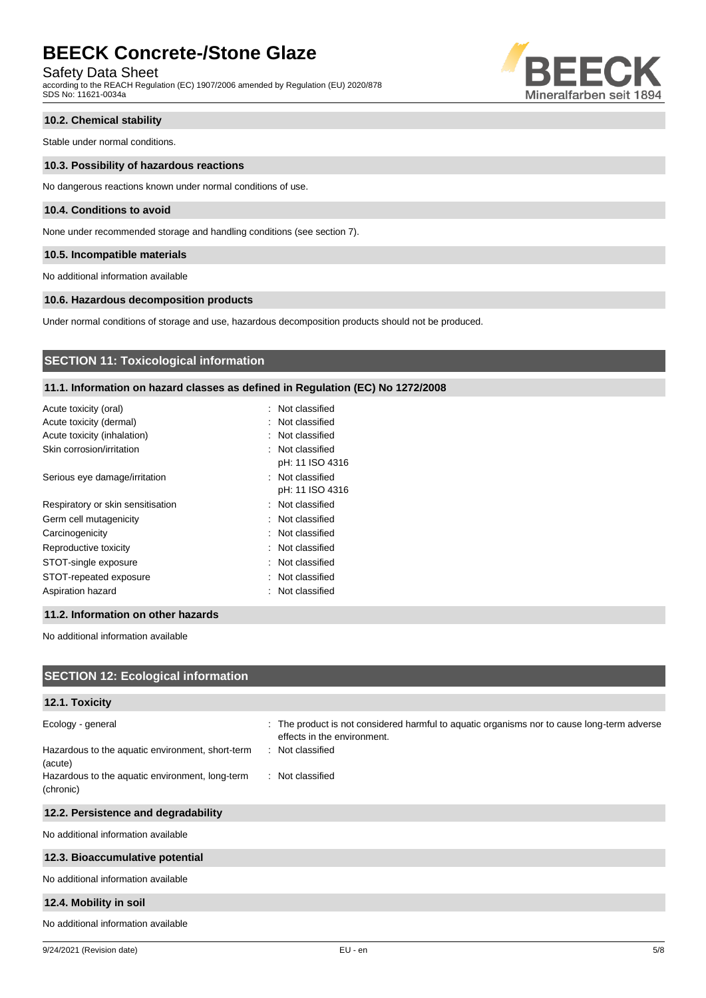# Safety Data Sheet

according to the REACH Regulation (EC) 1907/2006 amended by Regulation (EU) 2020/878 SDS No: 11621-0034a



#### **10.2. Chemical stability**

Stable under normal conditions.

#### **10.3. Possibility of hazardous reactions**

No dangerous reactions known under normal conditions of use.

#### **10.4. Conditions to avoid**

None under recommended storage and handling conditions (see section 7).

#### **10.5. Incompatible materials**

No additional information available

#### **10.6. Hazardous decomposition products**

Under normal conditions of storage and use, hazardous decomposition products should not be produced.

## **SECTION 11: Toxicological information**

#### **11.1. Information on hazard classes as defined in Regulation (EC) No 1272/2008**

| : Not classified |
|------------------|
| : Not classified |
| : Not classified |
| : Not classified |
| pH: 11 ISO 4316  |
| : Not classified |
| pH: 11 ISO 4316  |
| : Not classified |
| : Not classified |
| : Not classified |
| : Not classified |
| : Not classified |
| : Not classified |
| : Not classified |
|                  |

#### **11.2. Information on other hazards**

No additional information available

| <b>SECTION 12: Ecological information</b>                                        |                                                                                                                                                |
|----------------------------------------------------------------------------------|------------------------------------------------------------------------------------------------------------------------------------------------|
| 12.1. Toxicity                                                                   |                                                                                                                                                |
| Ecology - general<br>Hazardous to the aquatic environment, short-term<br>(acute) | : The product is not considered harmful to aquatic organisms nor to cause long-term adverse<br>effects in the environment.<br>: Not classified |
| Hazardous to the aquatic environment, long-term<br>(chronic)                     | : Not classified                                                                                                                               |
| 12.2. Persistence and degradability                                              |                                                                                                                                                |
| No additional information available                                              |                                                                                                                                                |
| 12.3. Bioaccumulative potential                                                  |                                                                                                                                                |
| No additional information available                                              |                                                                                                                                                |
| 12.4. Mobility in soil                                                           |                                                                                                                                                |
| No additional information available                                              |                                                                                                                                                |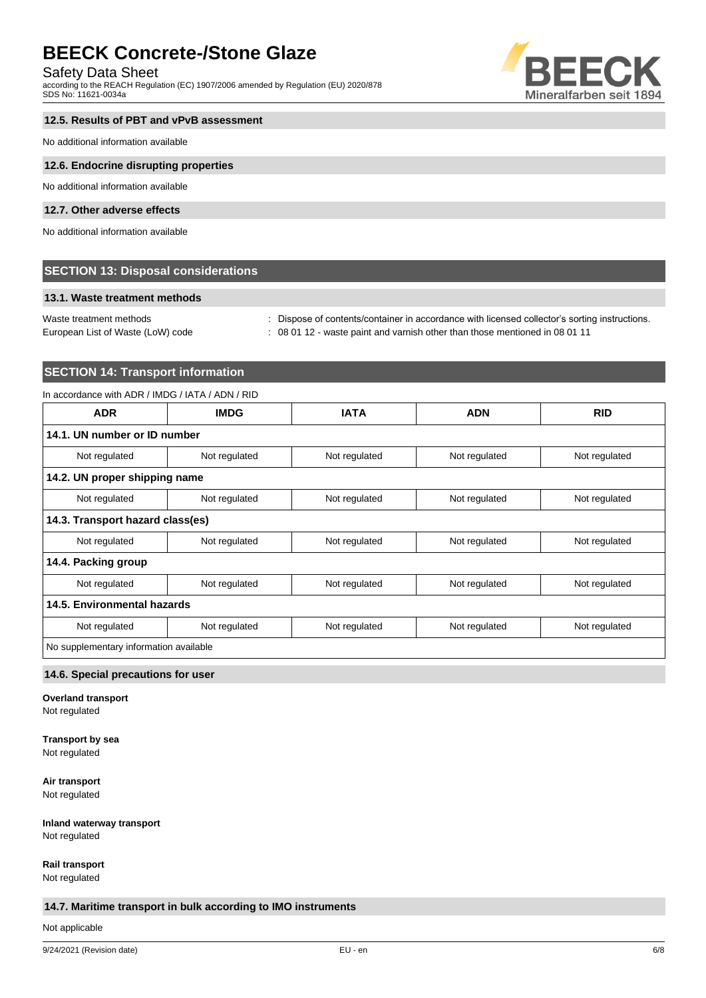#### Safety Data Sheet

according to the REACH Regulation (EC) 1907/2006 amended by Regulation (EU) 2020/878 SDS No: 11621-0034a



# **12.5. Results of PBT and vPvB assessment**

No additional information available

#### **12.6. Endocrine disrupting properties**

No additional information available

#### **12.7. Other adverse effects**

No additional information available

#### **SECTION 13: Disposal considerations**

#### **13.1. Waste treatment methods**

Waste treatment methods : Dispose of contents/container in accordance with licensed collector's sorting instructions.

European List of Waste (LoW) code : 08 01 12 - waste paint and varnish other than those mentioned in 08 01 11

# **SECTION 14: Transport information**

#### In accordance with ADR / IMDG / IATA / ADN / RID

| <b>ADR</b>                             | <b>IMDG</b>   | <b>IATA</b>   | <b>ADN</b>                     | <b>RID</b>    |
|----------------------------------------|---------------|---------------|--------------------------------|---------------|
| 14.1. UN number or ID number           |               |               |                                |               |
| Not regulated                          | Not regulated | Not regulated | Not regulated                  | Not regulated |
| 14.2. UN proper shipping name          |               |               |                                |               |
| Not regulated                          | Not regulated | Not regulated | Not regulated<br>Not regulated |               |
| 14.3. Transport hazard class(es)       |               |               |                                |               |
| Not regulated                          | Not regulated | Not regulated | Not regulated                  | Not regulated |
| 14.4. Packing group                    |               |               |                                |               |
| Not regulated                          | Not regulated | Not regulated | Not regulated<br>Not regulated |               |
| 14.5. Environmental hazards            |               |               |                                |               |
| Not regulated                          | Not regulated | Not regulated | Not regulated                  | Not regulated |
| No supplementary information available |               |               |                                |               |

#### **14.6. Special precautions for user**

**Overland transport**

Not regulated

# **Transport by sea**

Not regulated

**Air transport** Not regulated

**Inland waterway transport**

Not regulated

**Rail transport**

Not regulated

#### **14.7. Maritime transport in bulk according to IMO instruments**

Not applicable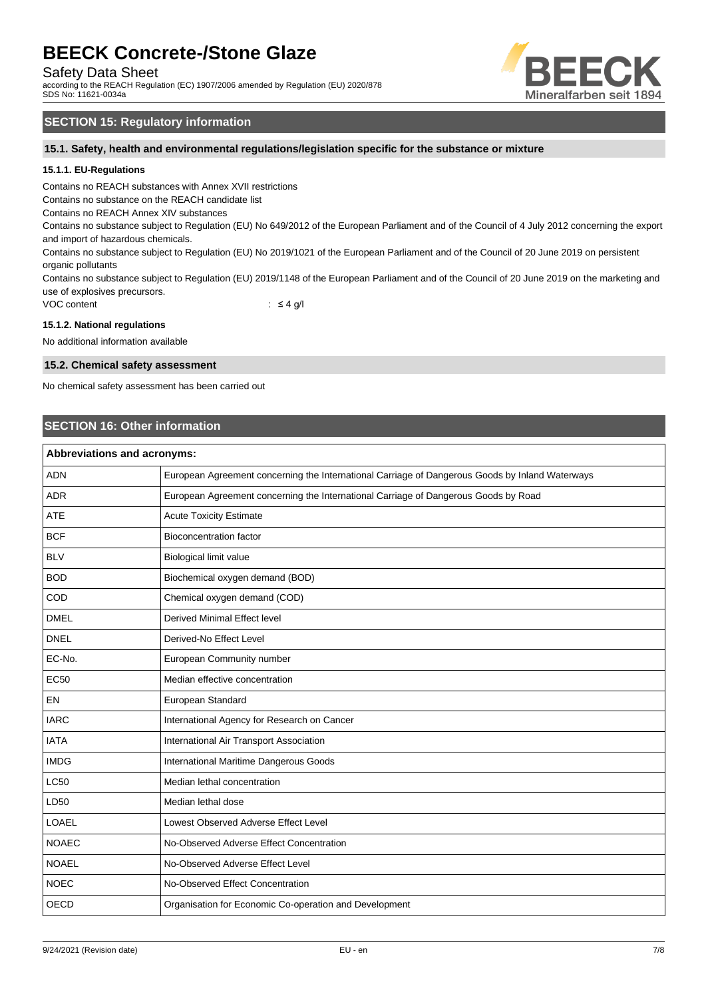Safety Data Sheet

according to the REACH Regulation (EC) 1907/2006 amended by Regulation (EU) 2020/878 SDS No: 11621-0034a



## **SECTION 15: Regulatory information**

**15.1. Safety, health and environmental regulations/legislation specific for the substance or mixture**

#### **15.1.1. EU-Regulations**

Contains no REACH substances with Annex XVII restrictions

Contains no substance on the REACH candidate list

Contains no REACH Annex XIV substances

Contains no substance subject to Regulation (EU) No 649/2012 of the European Parliament and of the Council of 4 July 2012 concerning the export and import of hazardous chemicals.

Contains no substance subject to Regulation (EU) No 2019/1021 of the European Parliament and of the Council of 20 June 2019 on persistent organic pollutants

Contains no substance subject to Regulation (EU) 2019/1148 of the European Parliament and of the Council of 20 June 2019 on the marketing and use of explosives precursors.

VOC content  $\qquad \qquad : \leq 4 \text{ g/l}$ 

#### **15.1.2. National regulations**

No additional information available

#### **15.2. Chemical safety assessment**

No chemical safety assessment has been carried out

### **SECTION 16: Other information**

| <b>Abbreviations and acronyms:</b> |                                                                                                 |  |
|------------------------------------|-------------------------------------------------------------------------------------------------|--|
| <b>ADN</b>                         | European Agreement concerning the International Carriage of Dangerous Goods by Inland Waterways |  |
| <b>ADR</b>                         | European Agreement concerning the International Carriage of Dangerous Goods by Road             |  |
| <b>ATE</b>                         | <b>Acute Toxicity Estimate</b>                                                                  |  |
| <b>BCF</b>                         | <b>Bioconcentration factor</b>                                                                  |  |
| <b>BLV</b>                         | Biological limit value                                                                          |  |
| <b>BOD</b>                         | Biochemical oxygen demand (BOD)                                                                 |  |
| COD                                | Chemical oxygen demand (COD)                                                                    |  |
| <b>DMEL</b>                        | Derived Minimal Effect level                                                                    |  |
| <b>DNEL</b>                        | Derived-No Effect Level                                                                         |  |
| EC-No.                             | European Community number                                                                       |  |
| <b>EC50</b>                        | Median effective concentration                                                                  |  |
| EN                                 | European Standard                                                                               |  |
| <b>IARC</b>                        | International Agency for Research on Cancer                                                     |  |
| <b>IATA</b>                        | International Air Transport Association                                                         |  |
| <b>IMDG</b>                        | International Maritime Dangerous Goods                                                          |  |
| <b>LC50</b>                        | Median lethal concentration                                                                     |  |
| LD50                               | Median lethal dose                                                                              |  |
| <b>LOAEL</b>                       | Lowest Observed Adverse Effect Level                                                            |  |
| <b>NOAEC</b>                       | No-Observed Adverse Effect Concentration                                                        |  |
| <b>NOAEL</b>                       | No-Observed Adverse Effect Level                                                                |  |
| <b>NOEC</b>                        | No-Observed Effect Concentration                                                                |  |
| <b>OECD</b>                        | Organisation for Economic Co-operation and Development                                          |  |